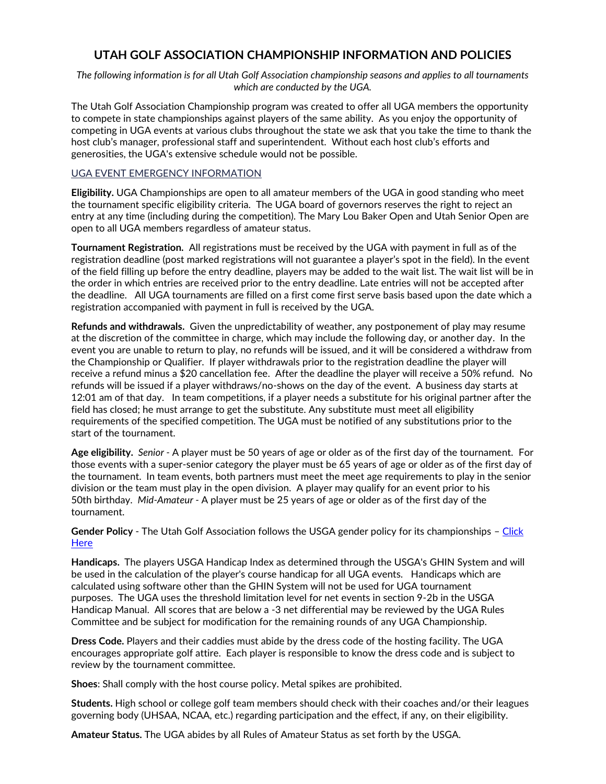# **UTAH GOLF ASSOCIATION CHAMPIONSHIP INFORMATION AND POLICIES**

*The following information is for all Utah Golf Association championship seasons and applies to all tournaments which are conducted by the UGA.*

The Utah Golf Association Championship program was created to offer all UGA members the opportunity to compete in state championships against players of the same ability. As you enjoy the opportunity of competing in UGA events at various clubs throughout the state we ask that you take the time to thank the host club's manager, professional staff and superintendent. Without each host club's efforts and generosities, the UGA's extensive schedule would not be possible.

#### [UGA EVENT EMERGENCY INFORMATION](https://uga.org/images/uploads/images/Background_Photos/medical_emergency_check_list.pdf)

**Eligibility.** UGA Championships are open to all amateur members of the UGA in good standing who meet the tournament specific eligibility criteria. The UGA board of governors reserves the right to reject an entry at any time (including during the competition). The Mary Lou Baker Open and Utah Senior Open are open to all UGA members regardless of amateur status.

**Tournament Registration.** All registrations must be received by the UGA with payment in full as of the registration deadline (post marked registrations will not guarantee a player's spot in the field). In the event of the field filling up before the entry deadline, players may be added to the wait list. The wait list will be in the order in which entries are received prior to the entry deadline. Late entries will not be accepted after the deadline. All UGA tournaments are filled on a first come first serve basis based upon the date which a registration accompanied with payment in full is received by the UGA.

**Refunds and withdrawals.** Given the unpredictability of weather, any postponement of play may resume at the discretion of the committee in charge, which may include the following day, or another day. In the event you are unable to return to play, no refunds will be issued, and it will be considered a withdraw from the Championship or Qualifier. If player withdrawals prior to the registration deadline the player will receive a refund minus a \$20 cancellation fee. After the deadline the player will receive a 50% refund. No refunds will be issued if a player withdraws/no-shows on the day of the event. A business day starts at 12:01 am of that day. In team competitions, if a player needs a substitute for his original partner after the field has closed; he must arrange to get the substitute. Any substitute must meet all eligibility requirements of the specified competition. The UGA must be notified of any substitutions prior to the start of the tournament.

**Age eligibility.** *Senior -* A player must be 50 years of age or older as of the first day of the tournament. For those events with a super-senior category the player must be 65 years of age or older as of the first day of the tournament. In team events, both partners must meet the meet age requirements to play in the senior division or the team must play in the open division. A player may qualify for an event prior to his 50th birthday. *Mid-Amateur -* A player must be 25 years of age or older as of the first day of the tournament.

**Gender Policy** - The Utah Golf Association follows the USGA gender policy for its championships – Click **[Here](http://www.usga.org/genderpolicy.html)** 

**Handicaps.** The players USGA Handicap Index as determined through the USGA's GHIN System and will be used in the calculation of the player's course handicap for all UGA events. Handicaps which are calculated using software other than the GHIN System will not be used for UGA tournament purposes. The UGA uses the threshold limitation level for net events in section 9-2b in the USGA Handicap Manual. All scores that are below a -3 net differential may be reviewed by the UGA Rules Committee and be subject for modification for the remaining rounds of any UGA Championship.

**Dress Code.** Players and their caddies must abide by the dress code of the hosting facility. The UGA encourages appropriate golf attire. Each player is responsible to know the dress code and is subject to review by the tournament committee.

**Shoes**: Shall comply with the host course policy. Metal spikes are prohibited.

**Students.** High school or college golf team members should check with their coaches and/or their leagues governing body (UHSAA, NCAA, etc.) regarding participation and the effect, if any, on their eligibility.

**Amateur Status.** The UGA abides by all Rules of Amateur Status as set forth by the USGA.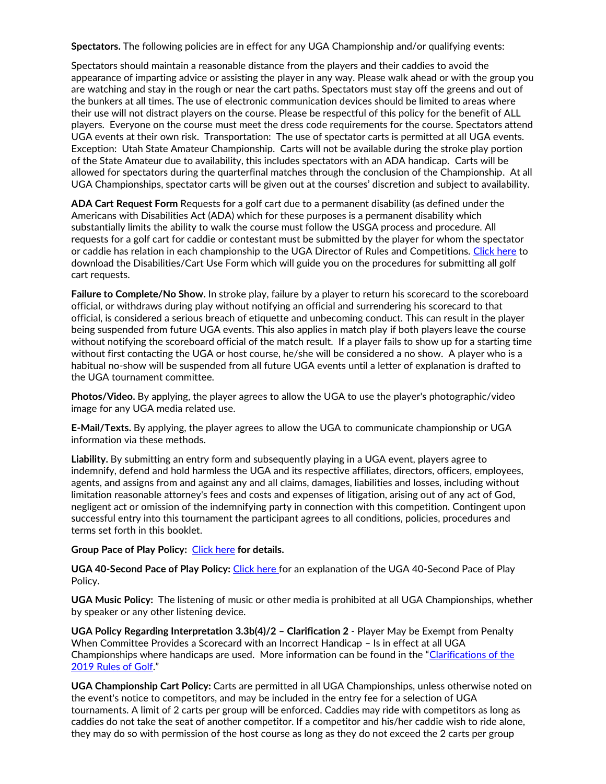**Spectators.** The following policies are in effect for any UGA Championship and/or qualifying events:

Spectators should maintain a reasonable distance from the players and their caddies to avoid the appearance of imparting advice or assisting the player in any way. Please walk ahead or with the group you are watching and stay in the rough or near the cart paths. Spectators must stay off the greens and out of the bunkers at all times. The use of electronic communication devices should be limited to areas where their use will not distract players on the course. Please be respectful of this policy for the benefit of ALL players. Everyone on the course must meet the dress code requirements for the course. Spectators attend UGA events at their own risk. Transportation: The use of spectator carts is permitted at all UGA events. Exception: Utah State Amateur Championship. Carts will not be available during the stroke play portion of the State Amateur due to availability, this includes spectators with an ADA handicap. Carts will be allowed for spectators during the quarterfinal matches through the conclusion of the Championship. At all UGA Championships, spectator carts will be given out at the courses' discretion and subject to availability.

**ADA Cart Request Form** Requests for a golf cart due to a permanent disability (as defined under the Americans with Disabilities Act (ADA) which for these purposes is a permanent disability which substantially limits the ability to walk the course must follow the USGA process and procedure. All requests for a golf cart for caddie or contestant must be submitted by the player for whom the spectator or caddie has relation in each championship to the UGA Director of Rules and Competitions. [Click here](https://www.uga.org/wp-content/uploads/sites/11/2018/10/adaform.pdf) to download the Disabilities/Cart Use Form which will guide you on the procedures for submitting all golf cart requests.

**Failure to Complete/No Show.** In stroke play, failure by a player to return his scorecard to the scoreboard official, or withdraws during play without notifying an official and surrendering his scorecard to that official, is considered a serious breach of etiquette and unbecoming conduct. This can result in the player being suspended from future UGA events. This also applies in match play if both players leave the course without notifying the scoreboard official of the match result. If a player fails to show up for a starting time without first contacting the UGA or host course, he/she will be considered a no show. A player who is a habitual no-show will be suspended from all future UGA events until a letter of explanation is drafted to the UGA tournament committee.

**Photos/Video.** By applying, the player agrees to allow the UGA to use the player's photographic/video image for any UGA media related use.

**E-Mail/Texts.** By applying, the player agrees to allow the UGA to communicate championship or UGA information via these methods.

**Liability.** By submitting an entry form and subsequently playing in a UGA event, players agree to indemnify, defend and hold harmless the UGA and its respective affiliates, directors, officers, employees, agents, and assigns from and against any and all claims, damages, liabilities and losses, including without limitation reasonable attorney's fees and costs and expenses of litigation, arising out of any act of God, negligent act or omission of the indemnifying party in connection with this competition. Contingent upon successful entry into this tournament the participant agrees to all conditions, policies, procedures and terms set forth in this booklet.

#### **Group Pace of Play Policy:** [Click here](https://www.uga.org/wp-content/uploads/sites/11/2022/02/Pace-of-Play-Checkpoint-Policy-2.18.pdf) **for details.**

**UGA 40-Second Pace of Play Policy:** [Click here](https://www.uga.org/wp-content/uploads/sites/11/2019/01/Pace-of-Play-Policy-Individual.pdf) for an explanation of the UGA 40-Second Pace of Play Policy.

**UGA Music Policy:** The listening of music or other media is prohibited at all UGA Championships, whether by speaker or any other listening device.

**UGA Policy Regarding Interpretation 3.3b(4)/2 – Clarification 2** - Player May be Exempt from Penalty When Committee Provides a Scorecard with an Incorrect Handicap – Is in effect at all UGA Championships where handicaps are used. More information can be found in the "[Clarifications of the](https://www.usga.org/rules-hub/rulesarticles/clarifications-of-the-2019-rules-of-golf.html)  [2019 Rules of Golf](https://www.usga.org/rules-hub/rulesarticles/clarifications-of-the-2019-rules-of-golf.html)."

**UGA Championship Cart Policy:** Carts are permitted in all UGA Championships, unless otherwise noted on the event's notice to competitors, and may be included in the entry fee for a selection of UGA tournaments. A limit of 2 carts per group will be enforced. Caddies may ride with competitors as long as caddies do not take the seat of another competitor. If a competitor and his/her caddie wish to ride alone, they may do so with permission of the host course as long as they do not exceed the 2 carts per group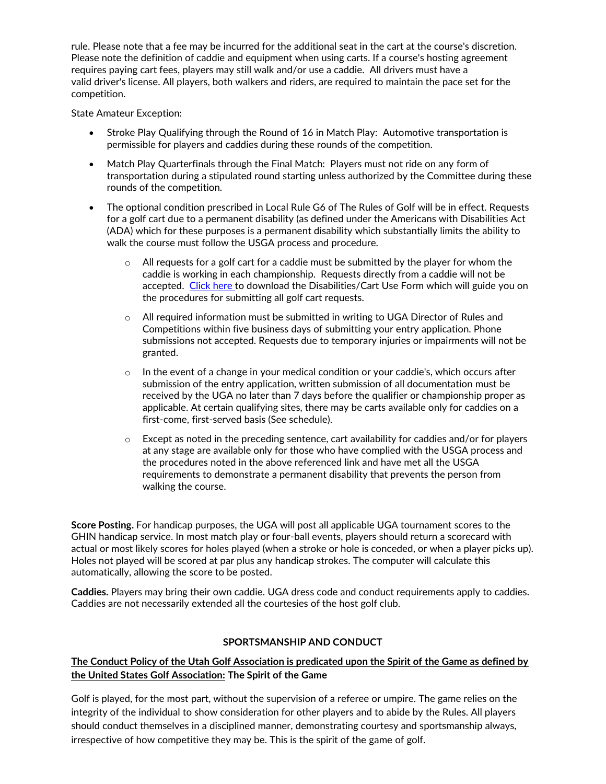rule. Please note that a fee may be incurred for the additional seat in the cart at the course's discretion. Please note the definition of caddie and equipment when using carts. If a course's hosting agreement requires paying cart fees, players may still walk and/or use a caddie. All drivers must have a valid driver's license. All players, both walkers and riders, are required to maintain the pace set for the competition.

State Amateur Exception:

- Stroke Play Qualifying through the Round of 16 in Match Play: Automotive transportation is permissible for players and caddies during these rounds of the competition.
- Match Play Quarterfinals through the Final Match: Players must not ride on any form of transportation during a stipulated round starting unless authorized by the Committee during these rounds of the competition.
- The optional condition prescribed in Local Rule G6 of The Rules of Golf will be in effect. Requests for a golf cart due to a permanent disability (as defined under the Americans with Disabilities Act (ADA) which for these purposes is a permanent disability which substantially limits the ability to walk the course must follow the USGA process and procedure.
	- $\circ$  All requests for a golf cart for a caddie must be submitted by the player for whom the caddie is working in each championship. Requests directly from a caddie will not be accepted. [Click here](https://www.uga.org/wp-content/uploads/sites/11/2018/10/adaform.pdf) to download the Disabilities/Cart Use Form which will guide you on the procedures for submitting all golf cart requests.
	- $\circ$  All required information must be submitted in writing to UGA Director of Rules and Competitions within five business days of submitting your entry application. Phone submissions not accepted. Requests due to temporary injuries or impairments will not be granted.
	- $\circ$  In the event of a change in your medical condition or your caddie's, which occurs after submission of the entry application, written submission of all documentation must be received by the UGA no later than 7 days before the qualifier or championship proper as applicable. At certain qualifying sites, there may be carts available only for caddies on a first-come, first-served basis (See schedule).
	- o Except as noted in the preceding sentence, cart availability for caddies and/or for players at any stage are available only for those who have complied with the USGA process and the procedures noted in the above referenced link and have met all the USGA requirements to demonstrate a permanent disability that prevents the person from walking the course.

**Score Posting.** For handicap purposes, the UGA will post all applicable UGA tournament scores to the GHIN handicap service. In most match play or four-ball events, players should return a scorecard with actual or most likely scores for holes played (when a stroke or hole is conceded, or when a player picks up). Holes not played will be scored at par plus any handicap strokes. The computer will calculate this automatically, allowing the score to be posted.

**Caddies.** Players may bring their own caddie. UGA dress code and conduct requirements apply to caddies. Caddies are not necessarily extended all the courtesies of the host golf club.

### **SPORTSMANSHIP AND CONDUCT**

## **The Conduct Policy of the Utah Golf Association is predicated upon the Spirit of the Game as defined by the United States Golf Association: The Spirit of the Game**

Golf is played, for the most part, without the supervision of a referee or umpire. The game relies on the integrity of the individual to show consideration for other players and to abide by the Rules. All players should conduct themselves in a disciplined manner, demonstrating courtesy and sportsmanship always, irrespective of how competitive they may be. This is the spirit of the game of golf.